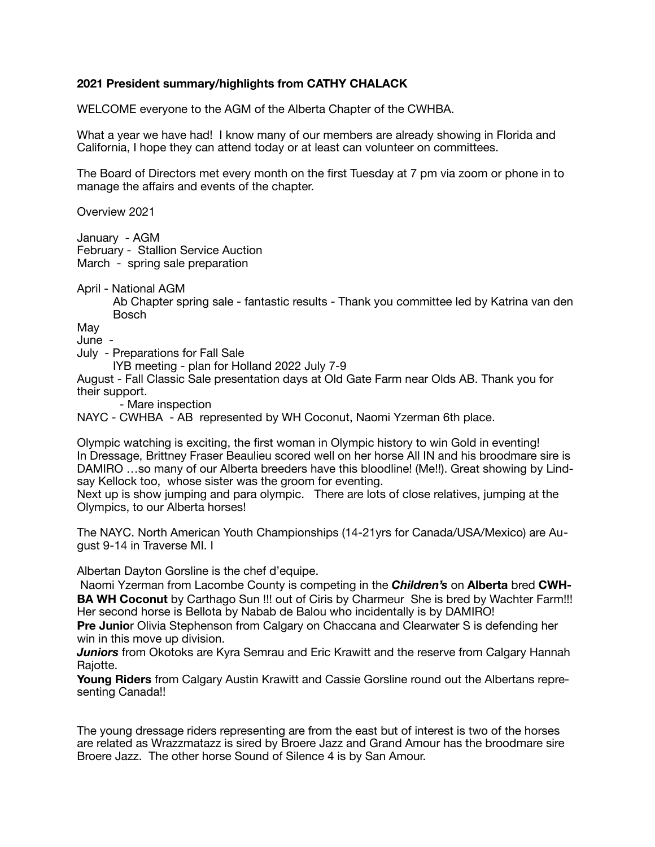## **2021 President summary/highlights from CATHY CHALACK**

WELCOME everyone to the AGM of the Alberta Chapter of the CWHBA.

What a year we have had! I know many of our members are already showing in Florida and California, I hope they can attend today or at least can volunteer on committees.

The Board of Directors met every month on the first Tuesday at 7 pm via zoom or phone in to manage the affairs and events of the chapter.

Overview 2021

January - AGM February - Stallion Service Auction March - spring sale preparation

April - National AGM

 Ab Chapter spring sale - fantastic results - Thank you committee led by Katrina van den Bosch

May

June -

July - Preparations for Fall Sale

IYB meeting - plan for Holland 2022 July 7-9

August - Fall Classic Sale presentation days at Old Gate Farm near Olds AB. Thank you for their support.

- Mare inspection

NAYC - CWHBA - AB represented by WH Coconut, Naomi Yzerman 6th place.

Olympic watching is exciting, the first woman in Olympic history to win Gold in eventing! In Dressage, Brittney Fraser Beaulieu scored well on her horse All IN and his broodmare sire is DAMIRO …so many of our Alberta breeders have this bloodline! (Me!!). Great showing by Lindsay Kellock too, whose sister was the groom for eventing.

Next up is show jumping and para olympic. There are lots of close relatives, jumping at the Olympics, to our Alberta horses!

The NAYC. North American Youth Championships (14-21yrs for Canada/USA/Mexico) are August 9-14 in Traverse MI. I

Albertan Dayton Gorsline is the chef d'equipe.

 Naomi Yzerman from Lacombe County is competing in the *Children's* on **Alberta** bred **CWH-BA WH Coconut** by Carthago Sun !!! out of Ciris by Charmeur She is bred by Wachter Farm!!! Her second horse is Bellota by Nabab de Balou who incidentally is by DAMIRO!

**Pre Junio**r Olivia Stephenson from Calgary on Chaccana and Clearwater S is defending her win in this move up division.

**Juniors** from Okotoks are Kyra Semrau and Eric Krawitt and the reserve from Calgary Hannah Rajotte.

**Young Riders** from Calgary Austin Krawitt and Cassie Gorsline round out the Albertans representing Canada!!

The young dressage riders representing are from the east but of interest is two of the horses are related as Wrazzmatazz is sired by Broere Jazz and Grand Amour has the broodmare sire Broere Jazz. The other horse Sound of Silence 4 is by San Amour.